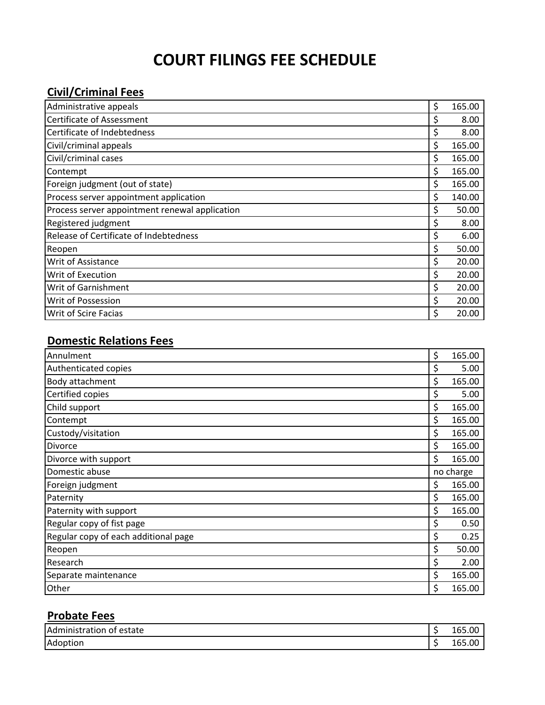## **COURT FILINGS FEE SCHEDULE**

## **Civil/Criminal Fees**

| Administrative appeals                         | \$<br>165.00 |
|------------------------------------------------|--------------|
| Certificate of Assessment                      | \$<br>8.00   |
| Certificate of Indebtedness                    | \$<br>8.00   |
| Civil/criminal appeals                         | \$<br>165.00 |
| Civil/criminal cases                           | \$<br>165.00 |
| Contempt                                       | \$<br>165.00 |
| Foreign judgment (out of state)                | \$<br>165.00 |
| Process server appointment application         | \$<br>140.00 |
| Process server appointment renewal application | \$<br>50.00  |
| Registered judgment                            | \$<br>8.00   |
| Release of Certificate of Indebtedness         | \$<br>6.00   |
| Reopen                                         | \$<br>50.00  |
| Writ of Assistance                             | \$<br>20.00  |
| Writ of Execution                              | \$<br>20.00  |
| Writ of Garnishment                            | \$<br>20.00  |
| <b>Writ of Possession</b>                      | \$<br>20.00  |
| <b>Writ of Scire Facias</b>                    | \$<br>20.00  |

## **Domestic Relations Fees**

| Annulment                            | \$<br>165.00 |
|--------------------------------------|--------------|
| Authenticated copies                 | \$<br>5.00   |
| Body attachment                      | \$<br>165.00 |
| Certified copies                     | \$<br>5.00   |
| Child support                        | \$<br>165.00 |
| Contempt                             | \$<br>165.00 |
| Custody/visitation                   | \$<br>165.00 |
| Divorce                              | \$<br>165.00 |
| Divorce with support                 | \$<br>165.00 |
| Domestic abuse                       | no charge    |
| Foreign judgment                     | \$<br>165.00 |
| Paternity                            | \$<br>165.00 |
| Paternity with support               | \$<br>165.00 |
| Regular copy of fist page            | \$<br>0.50   |
| Regular copy of each additional page | \$<br>0.25   |
| Reopen                               | \$<br>50.00  |
| Research                             | \$<br>2.00   |
| Separate maintenance                 | \$<br>165.00 |
| Other                                | \$<br>165.00 |

## **Probate Fees**

| l Adm<br>estate<br><br>O1<br>.<br>$\cdot$ | 102<br>$\overline{\phantom{a}}$ |
|-------------------------------------------|---------------------------------|
| Adoption                                  | <b>105</b>                      |